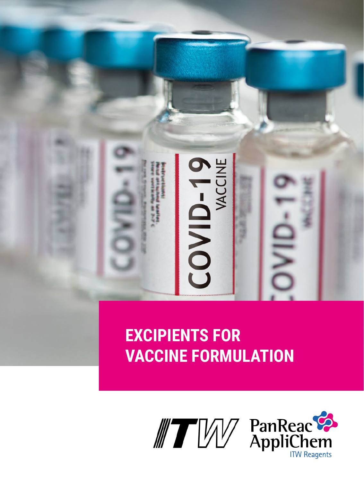

# **VACCINE FORMULATION**

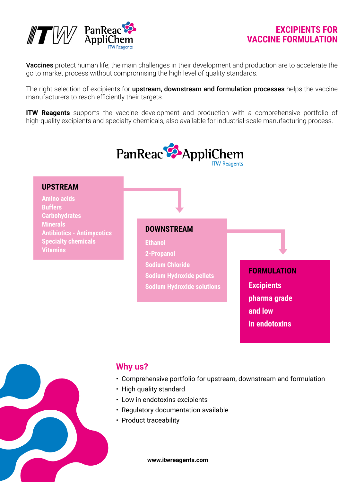

#### **EXCIPIENTS FOR VACCINE FORMULATION**

Vaccines protect human life; the main challenges in their development and production are to accelerate the go to market process without compromising the high level of quality standards.

The right selection of excipients for **upstream, downstream and formulation processes** helps the vaccine manufacturers to reach efficiently their targets.

**ITW Reagents** supports the vaccine development and production with a comprehensive portfolio of high-quality excipients and specialty chemicals, also available for industrial-scale manufacturing process.



## **Why us?**

- Comprehensive portfolio for upstream, downstream and formulation
- High quality standard
- Low in endotoxins excipients
- Regulatory documentation available
- Product traceability

**www.itwreagents.com**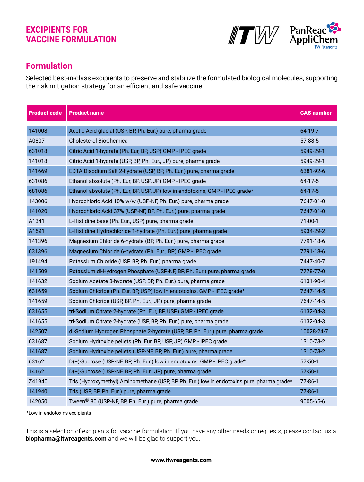#### **EXCIPIENTS FOR VACCINE FORMULATION**





## **Formulation**

Selected best-in-class excipients to preserve and stabilize the formulated biological molecules, supporting the risk mitigation strategy for an efficient and safe vaccine.

| <b>Product code</b> | <b>Product name</b>                                                                         | <b>CAS number</b> |
|---------------------|---------------------------------------------------------------------------------------------|-------------------|
| 141008              | Acetic Acid glacial (USP, BP, Ph. Eur.) pure, pharma grade                                  | 64-19-7           |
| A0807               | Cholesterol BioChemica                                                                      | 57-88-5           |
| 631018              | Citric Acid 1-hydrate (Ph. Eur, BP, USP) GMP - IPEC grade                                   | 5949-29-1         |
| 141018              | Citric Acid 1-hydrate (USP, BP, Ph. Eur., JP) pure, pharma grade                            | 5949-29-1         |
| 141669              | EDTA Disodium Salt 2-hydrate (USP, BP, Ph. Eur.) pure, pharma grade                         | 6381-92-6         |
| 631086              | Ethanol absolute (Ph. Eur, BP, USP, JP) GMP - IPEC grade                                    | $64-17-5$         |
| 681086              | Ethanol absolute (Ph. Eur, BP, USP, JP) low in endotoxins, GMP - IPEC grade*                | $64 - 17 - 5$     |
| 143006              | Hydrochloric Acid 10% w/w (USP-NF, Ph. Eur.) pure, pharma grade                             | 7647-01-0         |
| 141020              | Hydrochloric Acid 37% (USP-NF, BP, Ph. Eur.) pure, pharma grade                             | 7647-01-0         |
| A1341               | L-Histidine base (Ph. Eur., USP) pure, pharma grade                                         | $71-00-1$         |
| A1591               | L-Histidine Hydrochloride 1-hydrate (Ph. Eur.) pure, pharma grade                           | 5934-29-2         |
| 141396              | Magnesium Chloride 6-hydrate (BP, Ph. Eur.) pure, pharma grade                              | 7791-18-6         |
| 631396              | Magnesium Chloride 6-hydrate (Ph. Eur., BP) GMP - IPEC grade                                | 7791-18-6         |
| 191494              | Potassium Chloride (USP, BP, Ph. Eur.) pharma grade                                         | 7447-40-7         |
| 141509              | Potassium di-Hydrogen Phosphate (USP-NF, BP, Ph. Eur.) pure, pharma grade                   | 7778-77-0         |
| 141632              | Sodium Acetate 3-hydrate (USP, BP, Ph. Eur.) pure, pharma grade                             | 6131-90-4         |
| 631659              | Sodium Chloride (Ph. Eur, BP, USP) low in endotoxins, GMP - IPEC grade*                     | 7647-14-5         |
| 141659              | Sodium Chloride (USP, BP, Ph. Eur., JP) pure, pharma grade                                  | 7647-14-5         |
| 631655              | tri-Sodium Citrate 2-hydrate (Ph. Eur, BP, USP) GMP - IPEC grade                            | 6132-04-3         |
| 141655              | tri-Sodium Citrate 2-hydrate (USP, BP, Ph. Eur.) pure, pharma grade                         | 6132-04-3         |
| 142507              | di-Sodium Hydrogen Phosphate 2-hydrate (USP, BP, Ph. Eur.) pure, pharma grade               | 10028-24-7        |
| 631687              | Sodium Hydroxide pellets (Ph. Eur, BP, USP, JP) GMP - IPEC grade                            | 1310-73-2         |
| 141687              | Sodium Hydroxide pellets (USP-NF, BP, Ph. Eur.) pure, pharma grade                          | 1310-73-2         |
| 631621              | D(+)-Sucrose (USP-NF, BP, Ph. Eur.) low in endotoxins, GMP - IPEC grade*                    | $57 - 50 - 1$     |
| 141621              | D(+)-Sucrose (USP-NF, BP, Ph. Eur., JP) pure, pharma grade                                  | $57 - 50 - 1$     |
| Z41940              | Tris (Hydroxymethyl) Aminomethane (USP, BP, Ph. Eur.) low in endotoxins pure, pharma grade* | $77 - 86 - 1$     |
| 141940              | Tris (USP, BP, Ph. Eur.) pure, pharma grade                                                 | 77-86-1           |
| 142050              | Tween <sup>®</sup> 80 (USP-NF, BP, Ph. Eur.) pure, pharma grade                             | 9005-65-6         |

\*Low in endotoxins excipients

This is a selection of excipients for vaccine formulation. If you have any other needs or requests, please contact us at **[biopharma@itwreagents.com](mailto:biopharma%40itwreagents.com?subject=)** and we will be glad to support you.